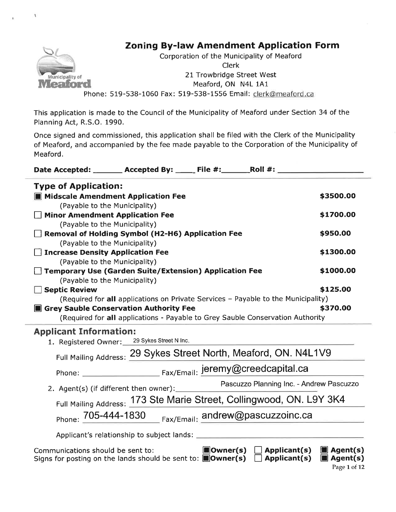

This application is made to the Council of the Municipality of Meaford under Section 34 of the Planning Act, R.S.O. 1990.

Once signed and commissioned, this application shall be filed with the Clerk of the Municipality of Meaford, and accompanied by the fee made payable to the Corporation of the Municipality of Meaford.

| Date Accepted: _______ Accepted By: ______ File #: _______ Roll #: _____          |           |  |  |
|-----------------------------------------------------------------------------------|-----------|--|--|
| <b>Type of Application:</b>                                                       |           |  |  |
| <b>III</b> Midscale Amendment Application Fee                                     | \$3500.00 |  |  |
| (Payable to the Municipality)                                                     |           |  |  |
| <b>Minor Amendment Application Fee</b>                                            | \$1700.00 |  |  |
| (Payable to the Municipality)                                                     |           |  |  |
| <b>Removal of Holding Symbol (H2-H6) Application Fee</b>                          | \$950.00  |  |  |
| (Payable to the Municipality)                                                     |           |  |  |
| <b>Increase Density Application Fee</b>                                           | \$1300.00 |  |  |
| (Payable to the Municipality)                                                     |           |  |  |
| <b>Temporary Use (Garden Suite/Extension) Application Fee</b>                     | \$1000.00 |  |  |
| (Payable to the Municipality)                                                     |           |  |  |
| <b>Septic Review</b>                                                              | \$125.00  |  |  |
| (Required for all applications on Private Services - Payable to the Municipality) |           |  |  |
| <b>Secondary Sauble Conservation Authority Fee</b><br>\$370.00                    |           |  |  |
| (Required for all applications - Payable to Grey Sauble Conservation Authority    |           |  |  |
| <b>Applicant Information:</b>                                                     |           |  |  |
| 1. Registered Owner: 29 Sykes Street N Inc.                                       |           |  |  |
| Full Mailing Address: 29 Sykes Street North, Meaford, ON. N4L1V9                  |           |  |  |
| Fax/Email: jeremy@creedcapital.ca<br>Phone:                                       |           |  |  |

2. Agent(s) (if different then owner): Pascuzzo Planning lnc. - Andrew Pascuzzo Full Mailing Address: 173 Ste Marie Street, Collingwood, ON. L9Y 3K4

Phone: 705-444-1830 Fax/Email: and rew@ pascuzzoinc.ca

Applicant's relationship to subject lands:

| Communications should be sent to:                                                                                     | $\Box$ Owner(s) $\Box$ Applicant(s) $\Box$ Agent(s) |  |
|-----------------------------------------------------------------------------------------------------------------------|-----------------------------------------------------|--|
| Signs for posting on the lands should be sent to: $\blacksquare$ Owner(s) $\Box$ Applicant(s) $\blacksquare$ Agent(s) |                                                     |  |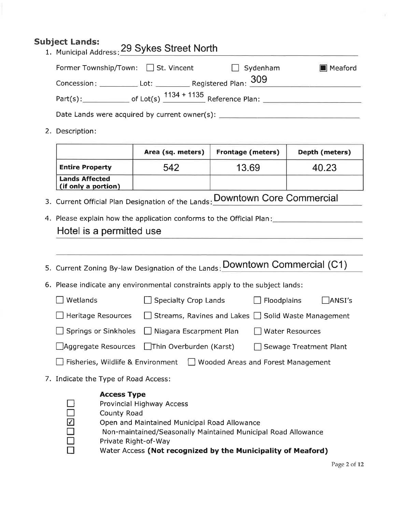### Subject Lands: 1. Municipal Address: 29 Sykes Street North

| Former Township/Town: □ St. Vincent           | $\Box$ Sydenham | Meaford |
|-----------------------------------------------|-----------------|---------|
|                                               |                 |         |
| Part(s):                                      |                 |         |
| Date Lands were acquired by current owner(s): |                 |         |

2. Description:

|                                              | Area (sq. meters) | <b>Frontage (meters)</b> | Depth (meters) |
|----------------------------------------------|-------------------|--------------------------|----------------|
| <b>Entire Property</b>                       | 542               | 13.69                    | 40.23          |
| <b>Lands Affected</b><br>(if only a portion) |                   |                          |                |

- 3. Current Official Plan Designation of the Lands: DOWNtOWN COre Commercia
- 4. Please explain how the application conforms to the Official Plan: Hotel is a permitted use
- 5. Current Zoning By-law Designation of the Lands: Downtown Commercial (C1) 6. Please indicate any environmental constraints apply to the subject lands:  $\Box$  Wetlands  $\Box$  Specialty Crop Lands  $\Box$  Floodplains  $\Box$  ANSI's  $\Box$  Heritage Resources  $\Box$  Streams, Ravines and Lakes  $\Box$  Solid Waste Management  $\Box$  Springs or Sinkholes  $\Box$  Niagara Escarpment Plan  $\Box$ Aggregate Resources  $\Box$ Thin Overburden (Karst)  $\Box$  Fisheries, Wildlife & Environment  $\Box$  Wooded Areas and Forest Management 7. Indicate the Type of Road Access: Access Type Water Resources Sewage Treatment Plant



- Provincial Highway Access
- County Road
- Open and Maintained Municipal Road Allowance
- Non-maintained/Seasonally Maintained Municipal Road Allowance
- Private Right-of-Way
	- Water Access (Not recognized by the Municipality of Meaford)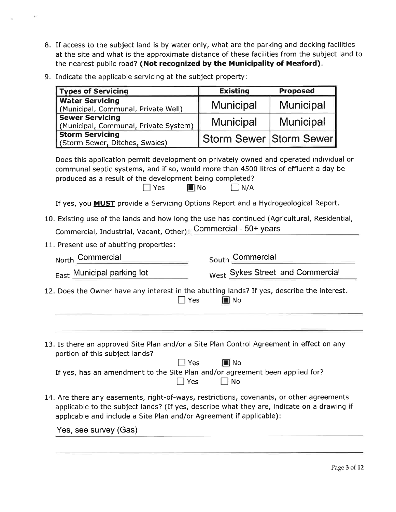- 8. If access to the subject land is by water only, what are the parking and docking facilities at the site and what is the approximate distance of these facilities from the subject land to the nearest public road? (Not recognized by the Municipality of Meaford).
- 9. Indicate the applicable servicing at the subject property:

| <b>Types of Servicing</b>                                       | <b>Existing</b>         | <b>Proposed</b>  |
|-----------------------------------------------------------------|-------------------------|------------------|
| <b>Water Servicing</b><br>(Municipal, Communal, Private Well)   | <b>Municipal</b>        | <b>Municipal</b> |
| <b>Sewer Servicing</b><br>(Municipal, Communal, Private System) | <b>Municipal</b>        | <b>Municipal</b> |
| <b>Storm Servicing</b><br>(Storm Sewer, Ditches, Swales)        | Storm Sewer Storm Sewer |                  |

Does this application permit development on privately owned and operated individual or communal septic systems, and if so, would more than 4500 litres of effluent a day be produced as a result of the development being completed?<br>N/A  $\Box$  Yes  $\Box$  No  $\Box$  N/A

If yes, you MUST provide a Servicing Options Report and a Hydrogeological Report.

- 10. Existing use of the lands and how long the use has continued (Agricultural, Residential, Commercial, Industrial, Vacant, Other) commercial \_ 50+ years
- 11. Present use of abutting properties:

North Commercial

**East Municipal parking lot** west Sykes Street and Commercial

|  |  | Culcas Chast and Campaign |
|--|--|---------------------------|

12. Does the Owner have any interest in the abutting lands? If yes, describe the interest

- $\Box$  Yes  $\Box$  No
- 13. Is there an approved Site Plan and/or a Site Plan Control Agreement in effect on any portion of this subject lands?

 $\Box$  Yes  $\Box$  No

If yes, has an amendment to the Site Plan and/or agreement been applied for?  $\Box$  Yes  $\Box$  No

14. Are there any easements, right-of-ways, restrictions, covenants, or other agreements applicable to the subject lands? (If yes, describe what they are, indicate on a drawing if applicable and include a Site Plan and/or Agreement if applicable):

Yes, see survey (Gas)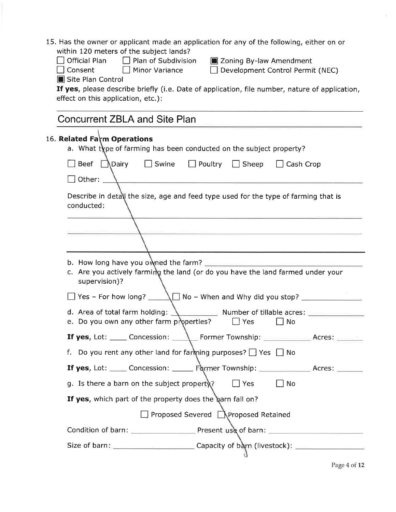| 15. Has the owner or applicant made an application for any of the following, either on or<br>within 120 meters of the subject lands?                      |
|-----------------------------------------------------------------------------------------------------------------------------------------------------------|
| □ Plan of Subdivision<br><b>Official Plan</b><br><b>E</b> Zoning By-law Amendment                                                                         |
| Consent<br>$\Box$ Minor Variance<br>Development Control Permit (NEC)                                                                                      |
| Site Plan Control<br>If yes, please describe briefly (i.e. Date of application, file number, nature of application,<br>effect on this application, etc.): |
| <b>Concurrent ZBLA and Site Plan</b>                                                                                                                      |
| 16. Related Farm Operations<br>a. What type of farming has been conducted on the subject property?                                                        |
| Beef<br>$\Box$ Swine<br>_\Dairy<br>$\Box$ Poultry<br>$\Box$ Sheep<br>$\Box$ Cash Crop<br>$\Box$ Other: $\Box$                                             |
|                                                                                                                                                           |
| Describe in detall the size, age and feed type used for the type of farming that is<br>conducted:                                                         |
|                                                                                                                                                           |
|                                                                                                                                                           |
|                                                                                                                                                           |
| b. How long have you owned the farm?<br>c. Are you actively farming the land (or do you have the land farmed under your<br>supervision)?                  |
| $\Box$ Yes – For how long?                                                                                                                                |
| d. Area of total farm holding:<br>Number of tillable acres: $\overline{=}$<br>e. Do you own any other farm properties?<br>$\Box$ Yes<br>No                |
| <b>If yes,</b> Lot: _____ Concession: ________ Former Township: ______________ Acres: _______                                                             |
| f. Do you rent any other land for farming purposes? $\Box$ Yes $\Box$ No                                                                                  |
| <b>If yes</b> , Lot: _____ Concession: ______ Former Township: _____________ Acres: ______                                                                |
| g. Is there a barn on the subject property?<br>$\Box$ Yes<br>__l No                                                                                       |
| If yes, which part of the property does the barn fall on?                                                                                                 |
| □ Proposed Severed ■ Proposed Retained                                                                                                                    |
|                                                                                                                                                           |
|                                                                                                                                                           |

Page 4 of 12

 $\bar{\eta}$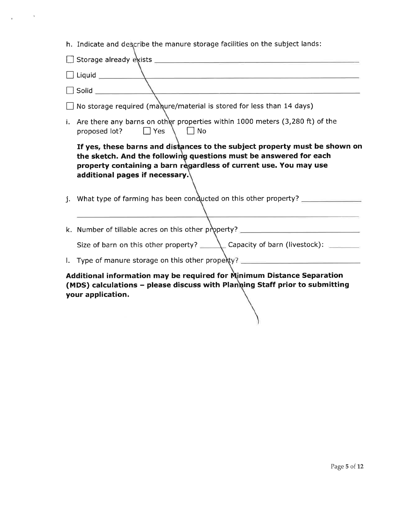h. Indicate and describe the manure storage facilities on the subject lands:

 $\sim$ 

'n,

|                                                                                                                                                                            | $\mathbf{V}$ , and the contract of the contract of the contract of the contract of the contract of the contract of the contract of the contract of the contract of the contract of the contract of the contract of the contract o                      |  |  |  |
|----------------------------------------------------------------------------------------------------------------------------------------------------------------------------|--------------------------------------------------------------------------------------------------------------------------------------------------------------------------------------------------------------------------------------------------------|--|--|--|
|                                                                                                                                                                            | $\Box$ Solid $\Box$                                                                                                                                                                                                                                    |  |  |  |
|                                                                                                                                                                            | $\Box$ No storage required (manure/material is stored for less than 14 days)                                                                                                                                                                           |  |  |  |
| i.                                                                                                                                                                         | Are there any barns on other properties within 1000 meters (3,280 ft) of the<br>proposed lot? Nes                                                                                                                                                      |  |  |  |
|                                                                                                                                                                            | If yes, these barns and distances to the subject property must be shown on<br>the sketch. And the following questions must be answered for each<br>property containing a barn regardless of current use. You may use<br>additional pages if necessary. |  |  |  |
|                                                                                                                                                                            | j. What type of farming has been conducted on this other property?                                                                                                                                                                                     |  |  |  |
|                                                                                                                                                                            | k. Number of tillable acres on this other property? ____________________________                                                                                                                                                                       |  |  |  |
|                                                                                                                                                                            | Size of barn on this other property? ________ Capacity of barn (livestock): _______                                                                                                                                                                    |  |  |  |
|                                                                                                                                                                            | I. Type of manure storage on this other property? ______________________________                                                                                                                                                                       |  |  |  |
| Additional information may be required for Minimum Distance Separation<br>(MDS) calculations - please discuss with Planning Staff prior to submitting<br>your application. |                                                                                                                                                                                                                                                        |  |  |  |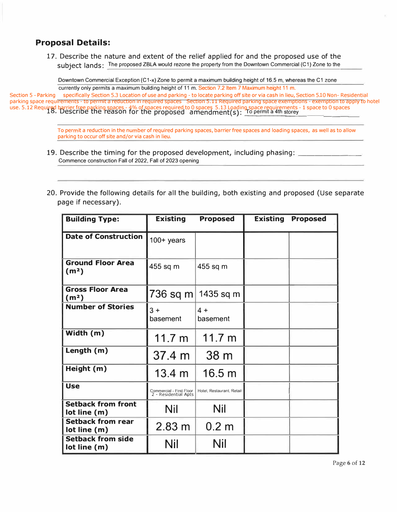### **Proposal Details:**

17. Describe the nature and extent of the relief applied for and the proposed use of the subject lands: The proposed ZBLA would rezone the property from the Downtown Commercial (C1) Zone to the

Downtown Commercial Exception (C1-x) Zone to permit a maximum building height of 16.5 m, whereas the C1 zone currently only permits a maximum building height of 11 m. Section 7.2 Item 7 Maximum height 11 m.

18. Describe the reason for the proposed amendment(s): \_ T o p\_ er m it a 4 th s to re use. 5.12 Required barrier free parking spaces - 4% of spaces required to 0 spaces 5.13 Loading space requirements - 1 space to 0 spaces \_ \_ \_ \_ \_ \_ \_ \_ \_ \_ \_ y \_\_ \_\_\_\_ \_ Section 5 - Parking specifically Section 5.3 Location of use and parking - to locate parking off site or via cash in lieu, Section 5.10 Non- Residential parking space requirements - to permit a reduction in required spaces Section 5.11 Required parking space exemptions - exemption to apply to hotel<br>use. 5.12 Required barrier free parking spaces - 4% of spaces required to 0

> To permit a reduction in the number of required parking spaces, barrier free spaces and loading spaces, as well as to allow parking to occur off site and/or via cash in lieu.

- 19. Describe the timing for the proposed development, including phasing:  $\Box$ Commence construction Fall of 2022, Fall of 2023 opening
- 20. Provide the following details for all the building, both existing and proposed (Use separate page if necessary).

| <b>Building Type:</b>                         | <b>Existing</b>                                  | <b>Proposed</b>           | <b>Existing</b> | <b>Proposed</b> |
|-----------------------------------------------|--------------------------------------------------|---------------------------|-----------------|-----------------|
| <b>Date of Construction</b>                   | $100+$ years                                     |                           |                 |                 |
| <b>Ground Floor Area</b><br>(m <sup>2</sup> ) | 455 sq m                                         | 455 sq m                  |                 |                 |
| <b>Gross Floor Area</b><br>(m <sup>2</sup> )  | 736 sq m                                         | 1435 sq m                 |                 |                 |
| <b>Number of Stories</b>                      | $3 +$<br>basement                                | $4 +$<br>basement         |                 |                 |
| Width (m)                                     | 11.7 m                                           | 11.7 m                    |                 |                 |
| Length (m)                                    | 37.4 m                                           | 38 <sub>m</sub>           |                 |                 |
| Height (m)                                    | $13.4 \; m$                                      | 16.5 m                    |                 |                 |
| <b>Use</b>                                    | Commercial - First Floor<br>2 - Residential Apts | Hotel, Restaurant, Retail |                 |                 |
| <b>Setback from front</b><br>lot line (m)     | Nil                                              | <b>Nil</b>                |                 |                 |
| <b>Setback from rear</b><br>lot line (m)      | 2.83 m                                           | 0.2 <sub>m</sub>          |                 |                 |
| <b>Setback from side</b><br>lot line (m)      | Nil                                              | Nil                       |                 |                 |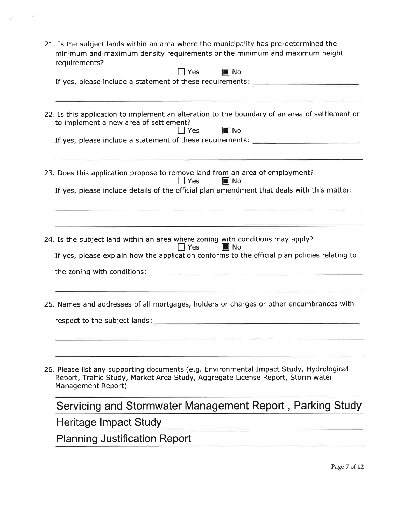21. Is the subject lands within an area where the municipality has pre-determined the minimum and maximum density requirements or the minimum and maximum height requirements?

 $\sim 100$ 

 $\tilde{\mathbf{r}}$ 

| 22. Is this application to implement an alteration to the boundary of an area of settlement or<br>to implement a new area of settlement?<br>$\blacksquare$ No<br>$\Box$ Yes<br>If yes, please include a statement of these requirements: ______________________<br><u> 1989 - Johann Stoff, amerikansk politiker († 1908)</u><br>23. Does this application propose to remove land from an area of employment?<br>$\Box$ Yes<br><b>I</b> No<br>If yes, please include details of the official plan amendment that deals with this matter:<br>24. Is the subject land within an area where zoning with conditions may apply?<br>$\Box$ Yes<br><b>I</b> No<br>If yes, please explain how the application conforms to the official plan policies relating to<br><u> Louis Communication de la communication de la communication de la communication de la communication de la com</u><br>25. Names and addresses of all mortgages, holders or charges or other encumbrances with<br>26. Please list any supporting documents (e.g. Environmental Impact Study, Hydrological<br>Report, Traffic Study, Market Area Study, Aggregate License Report, Storm water<br>Management Report)<br>Servicing and Stormwater Management Report, Parking Study<br>Heritage Impact Study<br><b>Planning Justification Report</b> | regunemento:<br>$\blacksquare$ No<br>$\Box$ Yes<br>If yes, please include a statement of these requirements: ______________________ |
|----------------------------------------------------------------------------------------------------------------------------------------------------------------------------------------------------------------------------------------------------------------------------------------------------------------------------------------------------------------------------------------------------------------------------------------------------------------------------------------------------------------------------------------------------------------------------------------------------------------------------------------------------------------------------------------------------------------------------------------------------------------------------------------------------------------------------------------------------------------------------------------------------------------------------------------------------------------------------------------------------------------------------------------------------------------------------------------------------------------------------------------------------------------------------------------------------------------------------------------------------------------------------------------------------------------|-------------------------------------------------------------------------------------------------------------------------------------|
|                                                                                                                                                                                                                                                                                                                                                                                                                                                                                                                                                                                                                                                                                                                                                                                                                                                                                                                                                                                                                                                                                                                                                                                                                                                                                                                |                                                                                                                                     |
|                                                                                                                                                                                                                                                                                                                                                                                                                                                                                                                                                                                                                                                                                                                                                                                                                                                                                                                                                                                                                                                                                                                                                                                                                                                                                                                |                                                                                                                                     |
|                                                                                                                                                                                                                                                                                                                                                                                                                                                                                                                                                                                                                                                                                                                                                                                                                                                                                                                                                                                                                                                                                                                                                                                                                                                                                                                |                                                                                                                                     |
|                                                                                                                                                                                                                                                                                                                                                                                                                                                                                                                                                                                                                                                                                                                                                                                                                                                                                                                                                                                                                                                                                                                                                                                                                                                                                                                |                                                                                                                                     |
|                                                                                                                                                                                                                                                                                                                                                                                                                                                                                                                                                                                                                                                                                                                                                                                                                                                                                                                                                                                                                                                                                                                                                                                                                                                                                                                |                                                                                                                                     |
|                                                                                                                                                                                                                                                                                                                                                                                                                                                                                                                                                                                                                                                                                                                                                                                                                                                                                                                                                                                                                                                                                                                                                                                                                                                                                                                |                                                                                                                                     |
|                                                                                                                                                                                                                                                                                                                                                                                                                                                                                                                                                                                                                                                                                                                                                                                                                                                                                                                                                                                                                                                                                                                                                                                                                                                                                                                |                                                                                                                                     |
|                                                                                                                                                                                                                                                                                                                                                                                                                                                                                                                                                                                                                                                                                                                                                                                                                                                                                                                                                                                                                                                                                                                                                                                                                                                                                                                |                                                                                                                                     |
|                                                                                                                                                                                                                                                                                                                                                                                                                                                                                                                                                                                                                                                                                                                                                                                                                                                                                                                                                                                                                                                                                                                                                                                                                                                                                                                |                                                                                                                                     |
|                                                                                                                                                                                                                                                                                                                                                                                                                                                                                                                                                                                                                                                                                                                                                                                                                                                                                                                                                                                                                                                                                                                                                                                                                                                                                                                |                                                                                                                                     |
|                                                                                                                                                                                                                                                                                                                                                                                                                                                                                                                                                                                                                                                                                                                                                                                                                                                                                                                                                                                                                                                                                                                                                                                                                                                                                                                |                                                                                                                                     |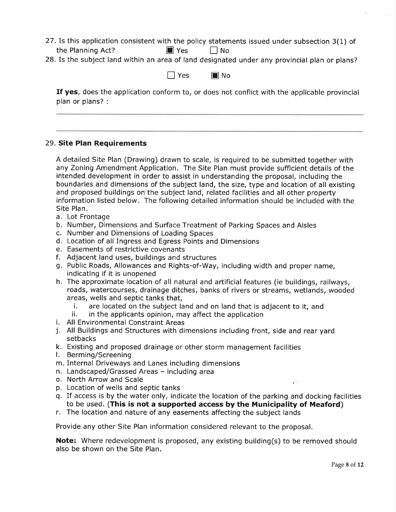- 27.Is this application consistent with the policy statements issued under subsection 3(1) of the Planning Act?  $\blacksquare$  Yes  $\blacksquare$  No
- 28. Is the subject land within an area of land designated under any provincial plan or plans?

 $\Box$  Yes  $\Box$  No

If yes, does the application conform to, or does not conflict with the applicable provincial plan or plans? :

#### 29. Site Plan Requirements

A detailed Site Plan (Drawing) drawn to scale, is required to be submitted together with any Zoning Amendment Application. The Site Plan must provide sufficient details of the intended development in order to assist in understanding the proposal, including the boundaries and dimensions of the subject land, the size, type and location of all existing and proposed buildings on the subject land, related facilities and all other property information listed below. The following detailed information should be included with the Site Plan.

- a. Lot Frontage
- b. Number, Dimensions and Surface Treatment of Parking Spaces and Aisles
- c. Number and Dimensions of Loading Spaces
- d. Location of all Ingress and Egress Points and Dimensions
- 
- e. Easements of restrictive covenants f. Adjacent land uses, buildings and structures
- g. Public Roads, Allowances and Rights-of-Way, including width and proper name, indicating if it is unopened
- h. The approximate location of all natural and artificial features (ie buildings, railways, roads, watercourses, drainage ditches, banks of rivers or streams, wetlands, wooded areas, wells and septic tanks that,
	- i. are located on the subject land and on land that is adjacent to it, and ii. in the applicants opinion, may affect the application
	-
- 
- i. All Environmental Constraint Areas<br>j. All Buildings and Structures with dimensions including front, side and rear yard setbacks
- k. Existing and proposed drainage or other storm management facilities l. Berming/Screening
- 
- m. Internal Driveways and Lanes including dimensions
- n. Landscaped/Grassed Areas including area
- o. North Arrow and Scale
- p. Location of wells and septic tanks
- q. If access is by the water only, indicate the location of the parking and docking facilities to be used. (This is not a supported access by the Municipality of Meaford)
- r. The location and nature of any easements affecting the subject lands

Provide any other Site Plan information considered relevant to the proposal.

Note: Where redevelopment is proposed, any existing building(s) to be removed should also be shown on the Site Plan.

p.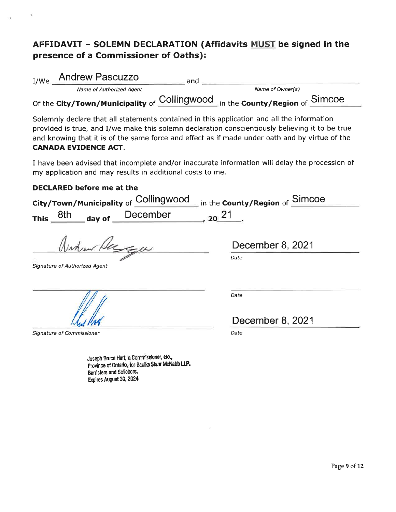## AFFIDAVIT - SOLEMN DECLARATION (Affidavits MUST be signed in the presence of a Commissioner of Oaths):

| I/We | <b>Andrew Pascuzzo</b>                          | and |                                     |  |
|------|-------------------------------------------------|-----|-------------------------------------|--|
|      | Name of Authorized Agent                        |     | Name of Owner(s)                    |  |
|      | Of the City/Town/Municipality of Collingwood in |     | $11$ in the County/Region of Simcoe |  |

Solemnly declare that all statements contained in this application and all the information provided is true, and I/we make this solemn declaration conscientiously believing it to be true and knowing that it is of the same force and effect as if made under oath and by virtue of the CANADA EVIDENCE ACT.

I have been advised that incomplete and/or inaccurate information will delay the procession of my application and may results in additional costs to me.

#### DECLARED before me at the

Banisters and Solicltors. Expires August 30, 2024

| Collingwood<br>City/Town/Municipality of                                                      | in the <b>County/Region</b> of <b>Simcoe</b> |
|-----------------------------------------------------------------------------------------------|----------------------------------------------|
| day of December<br>$20^{21}$<br>8th<br><b>This</b>                                            |                                              |
| New Hagge                                                                                     | December 8, 2021                             |
| Signature of Authorized Agent                                                                 | Date                                         |
|                                                                                               | Date                                         |
|                                                                                               | December 8, 2021                             |
| Signature of Commissioner                                                                     | Date                                         |
| Joseph Bruce Hart, a Commissioner, etc.,<br>Province of Ontario, for Baulke Stahr McNabb LLP. |                                              |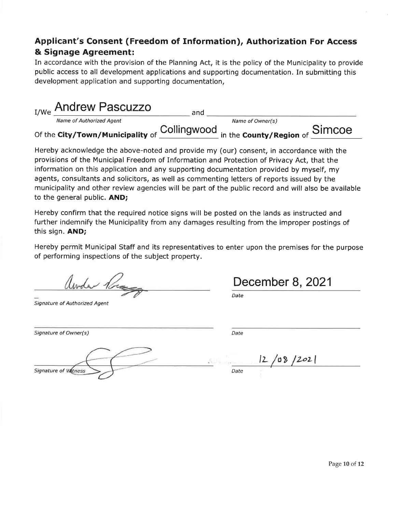## Applicant's Consent (Freedom of Information), Authorization For Access & Signage Agreement:

In accordance with the provision of the Planning Act, it is the policy of the Municipality to provide public access to all development applications and supporting documentation. In submitting this development application and supporting documentation,

| I/We Andrew Pascuzzo             | and |                                                                                                   |  |
|----------------------------------|-----|---------------------------------------------------------------------------------------------------|--|
| Name of Authorized Agent         |     | Name of Owner(s)                                                                                  |  |
| Of the City/Town/Municipality of |     | $f \xrightarrow{\text{Collingwood}}$ in the <b>County/Region</b> of $\xrightarrow{\text{SimCOe}}$ |  |

Hereby acknowledge the above-noted and provide my (our) consent, in accordance with the provisions of the Municipal Freedom of Information and Protection of Privacy Act, that the information on this application and any supporting documentation provided by myself, my agents, consultants and solicitors, as well as commenting letters of reports issued by the municipality and other review agencies will be part of the public record and will also be available to the general public. AND;

Hereby confirm that the required notice signs will be posted on the lands as instructed and further indemnify the Municipality from any damages resulting from the improper postings of this sign. AND;

Hereby permit Municipal Staff and its representatives to enter upon the premises for the purpose of performing inspections of the subject property.

Ander 12

Signature of Authorized Agent

December 8, 2021

Date

Date

Signature of Owner(s)

Signature of Witness

|  | 12/08/202 |  |
|--|-----------|--|

Date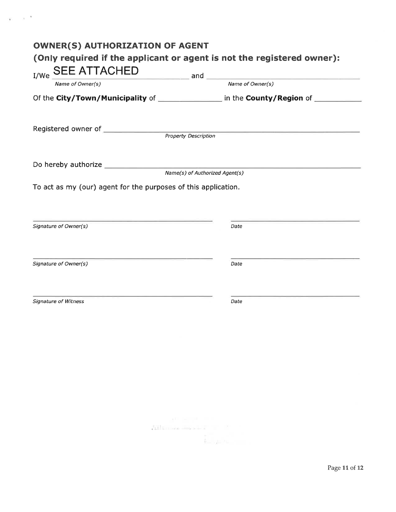| $SEE ATTACHED\nName of Owner(s) and _______ and _______ Name of Owner(s)$<br>Of the City/Town/Municipality of _________________ in the County/Region of _________ |  |
|-------------------------------------------------------------------------------------------------------------------------------------------------------------------|--|
|                                                                                                                                                                   |  |
|                                                                                                                                                                   |  |
|                                                                                                                                                                   |  |
|                                                                                                                                                                   |  |
|                                                                                                                                                                   |  |
| To act as my (our) agent for the purposes of this application.                                                                                                    |  |
|                                                                                                                                                                   |  |
| Signature of Owner(s)<br>Date                                                                                                                                     |  |
|                                                                                                                                                                   |  |
| Signature of Owner(s)<br>Date                                                                                                                                     |  |
|                                                                                                                                                                   |  |
| <b>Signature of Witness</b><br>Date                                                                                                                               |  |
|                                                                                                                                                                   |  |
|                                                                                                                                                                   |  |

 $\mathbb{R}^{n}$  .  $\mathbb{R}^{n-k}$ 

 $\label{eq:2.1} \frac{\lambda^{(1)}-\cdots-\lambda^{(n)}}{\lambda^{(n)}-\lambda^{(n)}-\lambda^{(n)}-\cdots-\lambda^{(n-1)}}$